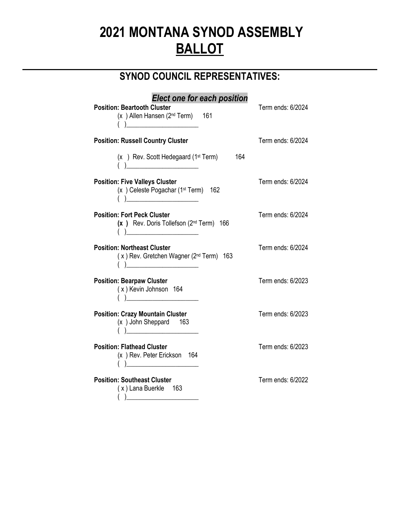# **2021 MONTANA SYNOD ASSEMBLY BALLOT**

## **SYNOD COUNCIL REPRESENTATIVES:**

| <b>Elect one for each position</b>                                                                                                                                                                                                                                                                                                                                                              |                   |  |
|-------------------------------------------------------------------------------------------------------------------------------------------------------------------------------------------------------------------------------------------------------------------------------------------------------------------------------------------------------------------------------------------------|-------------------|--|
| <b>Position: Beartooth Cluster</b><br>(x) Allen Hansen (2 <sup>nd</sup> Term) 161                                                                                                                                                                                                                                                                                                               | Term ends: 6/2024 |  |
| $\begin{picture}(20,10) \put(0,0){\line(1,0){10}} \put(15,0){\line(1,0){10}} \put(15,0){\line(1,0){10}} \put(15,0){\line(1,0){10}} \put(15,0){\line(1,0){10}} \put(15,0){\line(1,0){10}} \put(15,0){\line(1,0){10}} \put(15,0){\line(1,0){10}} \put(15,0){\line(1,0){10}} \put(15,0){\line(1,0){10}} \put(15,0){\line(1,0){10}} \put(15,0){\line(1$<br><b>Position: Russell Country Cluster</b> | Term ends: 6/2024 |  |
|                                                                                                                                                                                                                                                                                                                                                                                                 |                   |  |
| (x) Rev. Scott Hedegaard (1 <sup>st</sup> Term)<br>164<br>$\left( \begin{array}{c} \end{array} \right)$                                                                                                                                                                                                                                                                                         |                   |  |
| <b>Position: Five Valleys Cluster</b><br>(x) Celeste Pogachar (1 <sup>st</sup> Term) 162<br>$\left(\begin{array}{c} \end{array}\right)$                                                                                                                                                                                                                                                         | Term ends: 6/2024 |  |
| <b>Position: Fort Peck Cluster</b><br>(x ) Rev. Doris Tollefson (2nd Term) 166<br>$\begin{pmatrix} 1 & 1 \\ 1 & 1 \end{pmatrix}$                                                                                                                                                                                                                                                                | Term ends: 6/2024 |  |
| <b>Position: Northeast Cluster</b><br>(x) Rev. Gretchen Wagner (2 <sup>nd</sup> Term) 163<br>$\begin{pmatrix} 1 & 1 \\ 1 & 1 \end{pmatrix}$                                                                                                                                                                                                                                                     | Term ends: 6/2024 |  |
| <b>Position: Bearpaw Cluster</b><br>(x) Kevin Johnson 164<br>$\overline{(\phantom{a})}$                                                                                                                                                                                                                                                                                                         | Term ends: 6/2023 |  |
| <b>Position: Crazy Mountain Cluster</b><br>(x) John Sheppard 163<br>$\overline{(\phantom{a})}$                                                                                                                                                                                                                                                                                                  | Term ends: 6/2023 |  |
| <b>Position: Flathead Cluster</b><br>(x ) Rev. Peter Erickson 164<br>$\begin{pmatrix} 1 & 1 \\ 1 & 1 \end{pmatrix}$                                                                                                                                                                                                                                                                             | Term ends: 6/2023 |  |
| <b>Position: Southeast Cluster</b><br>(x) Lana Buerkle 163                                                                                                                                                                                                                                                                                                                                      | Term ends: 6/2022 |  |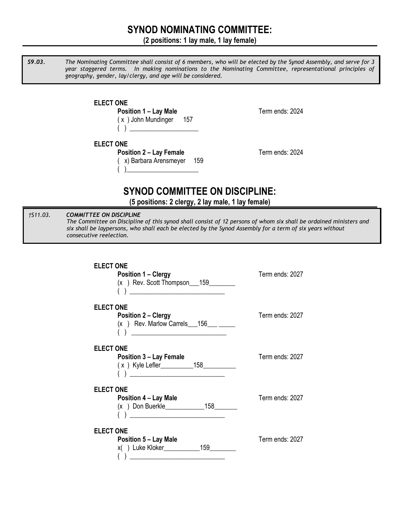### **SYNOD NOMINATING COMMITTEE:**

#### **(2 positions: 1 lay male, 1 lay female)**

*S9.03. The Nominating Committee shall consist of 6 members, who will be elected by the Synod Assembly, and serve for 3 year staggered terms. In making nominations to the Nominating Committee, representational principles of geography, gender, lay/clergy, and age will be considered.*

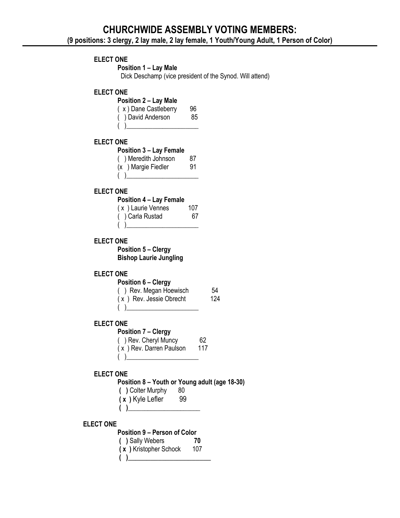#### **ELECT ONE**

**Position 1 – Lay Male**

Dick Deschamp (vice president of the Synod. Will attend)

#### **ELECT ONE**

| <b>Position 2 – Lay Male</b> |    |
|------------------------------|----|
| (x) Dane Castleberry         | 96 |
| ( ) David Anderson           | 85 |
|                              |    |

#### **ELECT ONE**

| () Meredith Johnson | 87 |
|---------------------|----|
| (x) Margie Fiedler  | 91 |
|                     |    |

#### **ELECT ONE**

| <b>Position 4 – Lay Female</b> |     |
|--------------------------------|-----|
| (x) Laurie Vennes              | 107 |
| () Carla Rustad                | 67  |
|                                |     |

#### **ELECT ONE**

**Position 5 – Clergy Bishop Laurie Jungling**

#### **ELECT ONE**

| <b>Position 6 – Clergy</b> |     |
|----------------------------|-----|
| () Rev. Megan Hoewisch     | 54  |
| (x) Rev. Jessie Obrecht    | 124 |
|                            |     |

#### **ELECT ONE**

| <b>Position 7 - Clergy</b> |     |
|----------------------------|-----|
| () Rev. Cheryl Muncy       | 62  |
| (x) Rev. Darren Paulson    | 117 |
| $\left($                   |     |

#### **ELECT ONE**

**Position 8 – Youth or Young adult (age 18-30)** 

- **( )** Colter Murphy 80
- **(x)** Kyle Lefler 99
- $\left( \begin{array}{cc} 1 \end{array} \right)$

#### **ELECT ONE**

### **Position 9 – Person of Color**

**( )** Sally Webers **70 ( x )** Kristopher Schock 107  **( )**\_\_\_\_\_\_\_\_\_\_\_\_\_\_\_\_\_\_\_\_\_\_